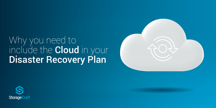# Why you need to include the Cloud in your Disaster Recovery Plan



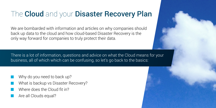# The Cloud and your Disaster Recovery Plan

We are bombarded with information and articles on why companies should back up data to the cloud and how cloud-based Disaster Recovery is the only way forward for companies to truly protect their data.

There is a lot of information, questions and advice on what the Cloud means for your business, all of which which can be confusing, so let's go back to the basics:

- Why do you need to back up?
- What is backup vs Disaster Recovery?
- Where does the Cloud fit in?
- Are all Clouds equal?

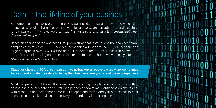### Data is the lifeline of your business

All companies need to protect themselves against data loss and downtime which can happen as a result of human error, hardware failure, software corruption, natural disasters, ransomware,… In IT circles we often say *"it's not a case of if disaster happens, but when disaster will happen"*.

Based on findings of the Aberdeen Group, downtime that lasts for one hour can cost small companies as much as £6,500. Mid-size companies will lose around £60,000 per hour and large enterprises over £563,000 for an hour of downtime\*. Further research shows that 90% of companies losing data from a disaster are forced to shut down within 2 years. *\* Prices have been converted from Dollars to Sterling*

Statistics show that 65% of companies have no backup or recovery plan. Many companies today do not equate their data to being their business. Are you one of these companies?

Most companies would agree that some form of contingency plan is needed to ensure they do not lose precious data and suffer long periods of downtime. Contingency plans to deal with disasters and downtime come in all shapes and forms and you can expect to hear such terms as Backup, Disaster Recovery (DR) and the Cloud being used.

011001011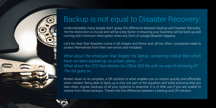

# Backup is not equal to Disaster Recovery:

Understandably many people don't grasp the difference between Backup and Disaster Recovery. Yet the distinction is crucial and will be a key factor in ensuring your business will be back up and running with minimum interruption when any form of outage/disaster happens.

What about the employee that forgets his laptop, containing critical files which *have not been backed up, on a train, plane, …? What about the CEO that deletes his Office 365 file with no way of retrieving it? The list goes on…*

Let's be clear that disasters come in all shapes and forms and, all too often, companies need to protect themselves from their own errors and mistakes.

Broken down to its simplest, a DR solution is what enables you to restore quickly and efficiently when needed. Being able to back up is only one part of the equation and while ensuring that you take clean, regular backups of all your systems is essential, it is of little use if you are unable to restore from these backups. Therein lies the difference between a backup and DR solution.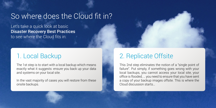### 2. Replicate Offsite

This 2nd step eliminates the notion of a "single point of failure". Put simply, if something goes wrong with your local backups, you cannot access your local site, your office is flooded, … you need to ensure that you have sent a copy of your backup images offsite. This is where the Cloud discussion starts…



### So where does the Cloud fit in?

Let's take a quick look at basic Disaster Recovery Best Practices to see where the Cloud fits in:

#### 1. Local Backup

The 1st step is to start with a local backup which means exactly what it suggests: ensure you back up your data and systems on your local site.

In the vast majority of cases you will restore from these onsite backups.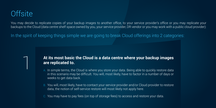You may decide to replicate copies of your backup images to another office, to your service provider's office or you may replicate your backups to the Cloud (data centre shelf space owned by you, your service provider, DR vendor or you may work with a public cloud provider):

In the spirit of keeping things simple we are going to break Cloud offerings into 2 categories:

#### **At its most basic the Cloud is a data centre where your backup images are replicated to.**

- A. In simple terms, the Cloud is where you store your data. Being able to quickly restore data in this scenario may be difficult. You will, most likely, have to factor in a number of days or weeks to get data back.
- B. You will, most likely, have to contact your service provider and/or Cloud provider to restore data, the notion of self-service restore will most likely not apply here.
- C. You may have to pay fees (on top of storage fees) to access and restore your data.

### **Offsite**

1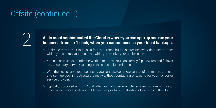# Offsite (continued...)

# **2** At its most sophisticated the Cloud is where you can spin up and run your<br>business from, in 1 click, when you cannot access your local backups. **business from, in 1 click, when you cannot access your local backups.**

- A. In simple terms, the Cloud is, in fact, a purpose-built Disaster Recovery data centre from which you can run your business, while you resolve your onsite issues.
- B. You can spin up your entire network in minutes. You can literally flip a switch and failover to a secondary network running in the cloud in just minutes.
- C. With the necessary expertise onsite, you can take complete control of the restore process and spin up your infrastructure directly without contacting or waiting for your vendor or service provider.
- D. Typically, purpose-built DR Cloud offerings will offer multiple recovery options including: drive based recovery, file and folder recovery or full virtualization of systems in the cloud.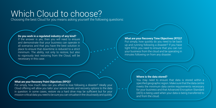## Which Cloud to choose?

Choosing the best Cloud for you means asking yourself the following questions:

**.** . . . . . . .

#### **Do you work in a regulated industry of any kind?**

If the answer is yes, then you will need to ensure and demonstrate that your business can operate in all scenarios and that you have the best solution in place to ensure that downtime is reduced to a strict minimum. The ability, not only to restore, but also to vigorously test restoring from the Cloud, will be necessary in this case.

**What are your Recovery Time Objectives (RTO)?** Put simply, how quickly do you need to be back up and running following a disaster? If you have tight RTOs you need to ensure that you can run your business from the cloud and be operating in minutes following on from any disaster.

#### **Where is the data stored?**

You may need to ensure that data is stored within a specified geographic region. Make sure that the data centre meets the minimum data centre requirements necessary for your business and that Advanced Encryption Standard (AES) is being used when your data is being transferred to and from the cloud.

#### **What are your Recovery Point Objectives (RPO)?**

Put simply, how much data can you afford to lose following a disaster? Ideally your Cloud offering will allow you tailor your service levels and recovery options to the data in question: in some cases, restore via a hard drive may be sufficient but for your mission-critical data you need to be sure you can virtualise in the cloud easily and quickly.